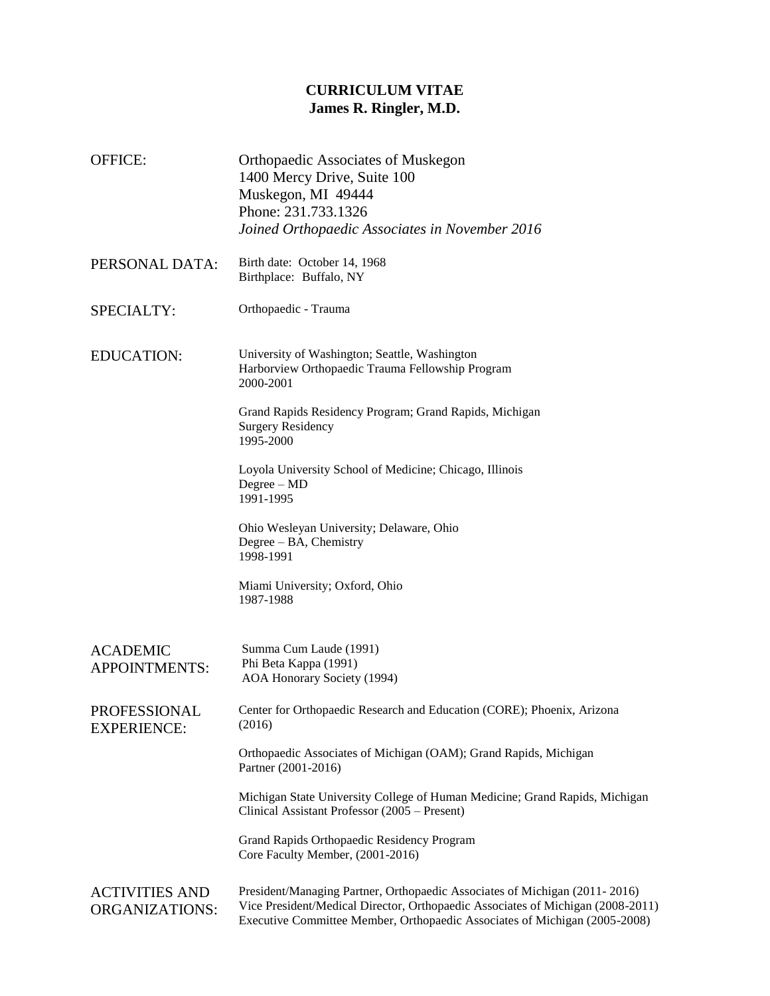## **CURRICULUM VITAE James R. Ringler, M.D.**

OFFICE: Orthopaedic Associates of Muskegon 1400 Mercy Drive, Suite 100 Muskegon, MI 49444 Phone: 231.733.1326 *Joined Orthopaedic Associates in November 2016* PERSONAL DATA: Birth date: October 14, 1968 Birthplace: Buffalo, NY SPECIALTY: Orthopaedic - Trauma ACADEMIC APPOINTMENTS: Summa Cum Laude (1991) Phi Beta Kappa (1991) AOA Honorary Society (1994) PROFESSIONAL EXPERIENCE: Center for Orthopaedic Research and Education (CORE); Phoenix, Arizona (2016) Orthopaedic Associates of Michigan (OAM); Grand Rapids, Michigan Partner (2001-2016) Michigan State University College of Human Medicine; Grand Rapids, Michigan Clinical Assistant Professor (2005 – Present) Grand Rapids Orthopaedic Residency Program Core Faculty Member, (2001-2016) EDUCATION: University of Washington; Seattle, Washington Harborview Orthopaedic Trauma Fellowship Program 2000-2001 Grand Rapids Residency Program; Grand Rapids, Michigan Surgery Residency 1995-2000 Loyola University School of Medicine; Chicago, Illinois Degree – MD 1991-1995 Ohio Wesleyan University; Delaware, Ohio Degree – BA, Chemistry 1998-1991 Miami University; Oxford, Ohio 1987-1988 ACTIVITIES AND ORGANIZATIONS: President/Managing Partner, Orthopaedic Associates of Michigan (2011- 2016) Vice President/Medical Director, Orthopaedic Associates of Michigan (2008-2011) Executive Committee Member, Orthopaedic Associates of Michigan (2005-2008)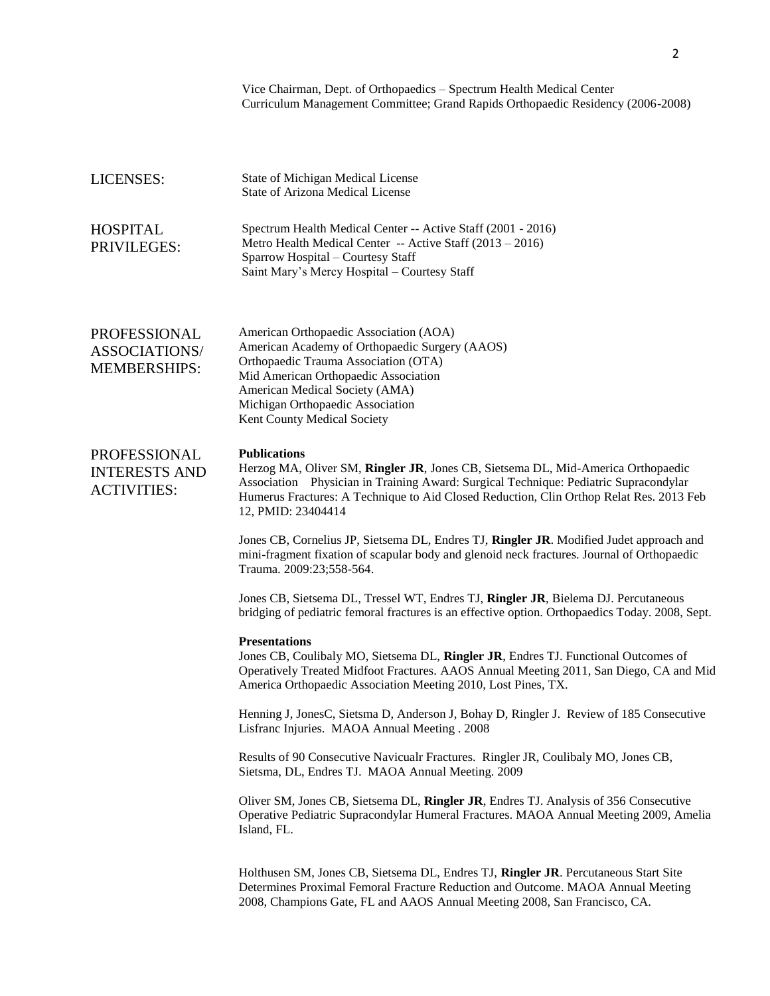|                                                                    | Vice Chairman, Dept. of Orthopaedics - Spectrum Health Medical Center<br>Curriculum Management Committee; Grand Rapids Orthopaedic Residency (2006-2008)                                                                                                                                                         |
|--------------------------------------------------------------------|------------------------------------------------------------------------------------------------------------------------------------------------------------------------------------------------------------------------------------------------------------------------------------------------------------------|
| LICENSES:                                                          | State of Michigan Medical License<br><b>State of Arizona Medical License</b>                                                                                                                                                                                                                                     |
| <b>HOSPITAL</b><br>PRIVILEGES:                                     | Spectrum Health Medical Center -- Active Staff (2001 - 2016)<br>Metro Health Medical Center -- Active Staff (2013 - 2016)<br>Sparrow Hospital - Courtesy Staff<br>Saint Mary's Mercy Hospital - Courtesy Staff                                                                                                   |
| <b>PROFESSIONAL</b><br><b>ASSOCIATIONS/</b><br><b>MEMBERSHIPS:</b> | American Orthopaedic Association (AOA)<br>American Academy of Orthopaedic Surgery (AAOS)<br>Orthopaedic Trauma Association (OTA)<br>Mid American Orthopaedic Association<br>American Medical Society (AMA)<br>Michigan Orthopaedic Association<br>Kent County Medical Society                                    |
| PROFESSIONAL<br><b>INTERESTS AND</b><br><b>ACTIVITIES:</b>         | <b>Publications</b><br>Herzog MA, Oliver SM, Ringler JR, Jones CB, Sietsema DL, Mid-America Orthopaedic<br>Association Physician in Training Award: Surgical Technique: Pediatric Supracondylar<br>Humerus Fractures: A Technique to Aid Closed Reduction, Clin Orthop Relat Res. 2013 Feb<br>12, PMID: 23404414 |
|                                                                    | Jones CB, Cornelius JP, Sietsema DL, Endres TJ, Ringler JR. Modified Judet approach and<br>mini-fragment fixation of scapular body and glenoid neck fractures. Journal of Orthopaedic<br>Trauma. 2009:23;558-564.                                                                                                |
|                                                                    | Jones CB, Sietsema DL, Tressel WT, Endres TJ, Ringler JR, Bielema DJ. Percutaneous<br>bridging of pediatric femoral fractures is an effective option. Orthopaedics Today. 2008, Sept.                                                                                                                            |
|                                                                    | <b>Presentations</b><br>Jones CB, Coulibaly MO, Sietsema DL, Ringler JR, Endres TJ. Functional Outcomes of<br>Operatively Treated Midfoot Fractures. AAOS Annual Meeting 2011, San Diego, CA and Mid<br>America Orthopaedic Association Meeting 2010, Lost Pines, TX.                                            |
|                                                                    | Henning J, JonesC, Sietsma D, Anderson J, Bohay D, Ringler J. Review of 185 Consecutive<br>Lisfranc Injuries. MAOA Annual Meeting. 2008                                                                                                                                                                          |
|                                                                    | Results of 90 Consecutive Navicualr Fractures. Ringler JR, Coulibaly MO, Jones CB,<br>Sietsma, DL, Endres TJ. MAOA Annual Meeting. 2009                                                                                                                                                                          |
|                                                                    | Oliver SM, Jones CB, Sietsema DL, Ringler JR, Endres TJ. Analysis of 356 Consecutive<br>Operative Pediatric Supracondylar Humeral Fractures. MAOA Annual Meeting 2009, Amelia<br>Island, FL.                                                                                                                     |
|                                                                    | Holthusen SM, Jones CB, Sietsema DL, Endres TJ, Ringler JR. Percutaneous Start Site<br>Determines Proximal Femoral Fracture Reduction and Outcome. MAOA Annual Meeting<br>2008, Champions Gate, FL and AAOS Annual Meeting 2008, San Francisco, CA.                                                              |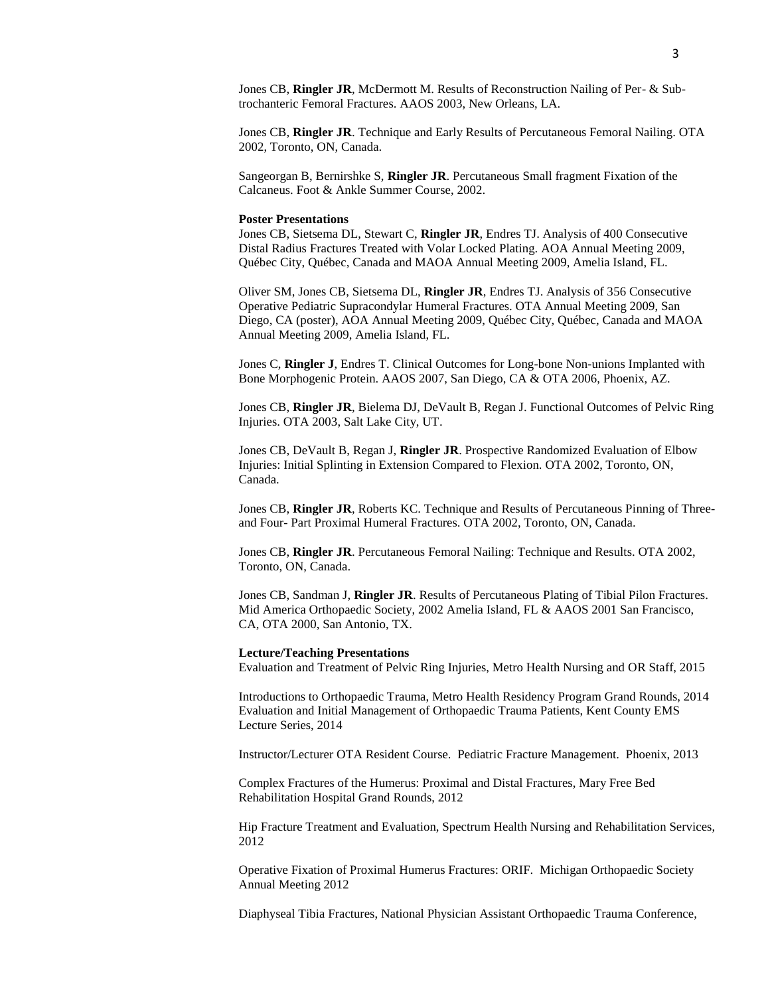Jones CB, **Ringler JR**. Technique and Early Results of Percutaneous Femoral Nailing. OTA 2002, Toronto, ON, Canada.

Sangeorgan B, Bernirshke S, **Ringler JR**. Percutaneous Small fragment Fixation of the Calcaneus. Foot & Ankle Summer Course, 2002.

## **Poster Presentations**

Jones CB, Sietsema DL, Stewart C, **Ringler JR**, Endres TJ. Analysis of 400 Consecutive Distal Radius Fractures Treated with Volar Locked Plating. AOA Annual Meeting 2009, Québec City, Québec, Canada and MAOA Annual Meeting 2009, Amelia Island, FL.

Oliver SM, Jones CB, Sietsema DL, **Ringler JR**, Endres TJ. Analysis of 356 Consecutive Operative Pediatric Supracondylar Humeral Fractures. OTA Annual Meeting 2009, San Diego, CA (poster), AOA Annual Meeting 2009, Québec City, Québec, Canada and MAOA Annual Meeting 2009, Amelia Island, FL.

Jones C, **Ringler J**, Endres T. Clinical Outcomes for Long-bone Non-unions Implanted with Bone Morphogenic Protein. AAOS 2007, San Diego, CA & OTA 2006, Phoenix, AZ.

Jones CB, **Ringler JR**, Bielema DJ, DeVault B, Regan J. Functional Outcomes of Pelvic Ring Injuries. OTA 2003, Salt Lake City, UT.

Jones CB, DeVault B, Regan J, **Ringler JR**. Prospective Randomized Evaluation of Elbow Injuries: Initial Splinting in Extension Compared to Flexion. OTA 2002, Toronto, ON, Canada.

Jones CB, **Ringler JR**, Roberts KC. Technique and Results of Percutaneous Pinning of Threeand Four- Part Proximal Humeral Fractures. OTA 2002, Toronto, ON, Canada.

Jones CB, **Ringler JR**. Percutaneous Femoral Nailing: Technique and Results. OTA 2002, Toronto, ON, Canada.

Jones CB, Sandman J, **Ringler JR**. Results of Percutaneous Plating of Tibial Pilon Fractures. Mid America Orthopaedic Society, 2002 Amelia Island, FL & AAOS 2001 San Francisco, CA, OTA 2000, San Antonio, TX.

## **Lecture/Teaching Presentations**

Evaluation and Treatment of Pelvic Ring Injuries, Metro Health Nursing and OR Staff, 2015

Introductions to Orthopaedic Trauma, Metro Health Residency Program Grand Rounds, 2014 Evaluation and Initial Management of Orthopaedic Trauma Patients, Kent County EMS Lecture Series, 2014

Instructor/Lecturer OTA Resident Course. Pediatric Fracture Management. Phoenix, 2013

Complex Fractures of the Humerus: Proximal and Distal Fractures, Mary Free Bed Rehabilitation Hospital Grand Rounds, 2012

Hip Fracture Treatment and Evaluation, Spectrum Health Nursing and Rehabilitation Services, 2012

Operative Fixation of Proximal Humerus Fractures: ORIF. Michigan Orthopaedic Society Annual Meeting 2012

Diaphyseal Tibia Fractures, National Physician Assistant Orthopaedic Trauma Conference,